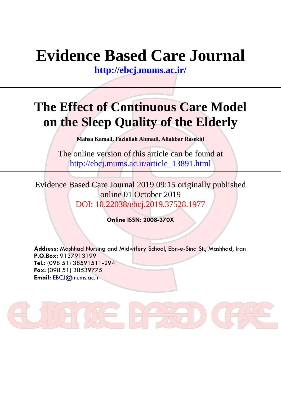# **Evidence Based Care Journal**

**<http://ebcj.mums.ac.ir/>**

## **The Effect of Continuous Care Model on the Sleep Quality of the Elderly**

**Mahsa Kamali, Fazlollah Ahmadi, Aliakbar Rasekhi** 

The online version of this article can be found at http://ebcj.mums.ac.ir/article\_13891.html

Evidence Based Care Journal 2019 09:15 originally published online 01 October 2019 DOI: 10.22038/ebcj.2019.37528.1977

**Online ISSN: 2008-370X**

**Address:** Mashhad Nursing and Midwifery School, Ebn-e-Sina St., Mashhad, Iran **P.O.Box:** 9137913199 **Tel.:** (098 51) 38591511-294 **Fax:** (098 51) 38539775 **Email:** [EBCJ@mums.ac.ir](mailto:EBCJ@mums.ac.ir)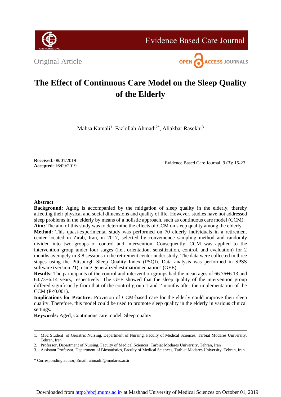

**Evidence Based Care Journal** 

Original Article



### **The Effect of Continuous Care Model on the Sleep Quality of the Elderly**

Mahsa Kamali<sup>1</sup>, Fazlollah Ahmadi<sup>2\*</sup>, Aliakbar Rasekhi<sup>3</sup>

**Received**: 08/01/2019 **Accepted**: 16/09/2019

Evidence Based Care Journal, 9 (3): 15-23

#### **Abstract**

**Background:** Aging is accompanied by the mitigation of sleep quality in the elderly, thereby affecting their physical and social dimensions and quality of life. However, studies have not addressed sleep problems in the elderly by means of a holistic approach, such as continuous care model (CCM). **Aim:** The aim of this study was to determine the effects of CCM on sleep quality among the elderly.

**Method:** This quasi-experimental study was performed on 70 elderly individuals in a retirement center located in Zirab, Iran, in 2017, selected by convenience sampling method and randomly divided into two groups of control and intervention. Consequently, CCM was applied to the intervention group under four stages (i.e., orientation, sensitization, control, and evaluation) for 2 months averagely in 3-8 sessions in the retirement center under study. The data were collected in three stages using the Pittsburgh Sleep Quality Index (PSQI). Data analysis was performed in SPSS software (version 21), using generalized estimation equations (GEE).

**Results:** The participants of the control and intervention groups had the mean ages of 66.76 $\pm$ 6.13 and  $64.73\pm6.14$  years, respectively. The GEE showed that the sleep quality of the intervention group differed significantly from that of the control group 1 and 2 months after the implementation of the CCM (P<0.001).

**Implications for Practice:** Provision of CCM-based care for the elderly could improve their sleep quality. Therefore, this model could be used to promote sleep quality in the elderly in various clinical settings.

**Keywords:** Aged, Continuous care model, Sleep quality

<sup>1.</sup> MSc Student of Geriatric Nursing, Department of Nursing, Faculty of Medical Sciences, Tarbiat Modares University, Tehran, Iran

<sup>2.</sup> Professor, Department of Nursing, Faculty of Medical Sciences, Tarbiat Modares University, Tehran, Iran

<sup>3.</sup> Assistant Professor, Department of Biostatistics, Faculty of Medical Sciences, Tarbiat Modares University, Tehran, Iran

<sup>\*</sup> Corresponding author, Email: ahmadif@modares.ac.ir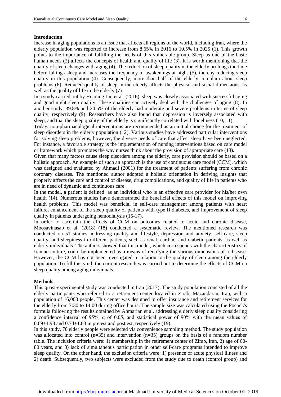#### **Introduction**

Increase in aging populations is an issue that affects all regions of the world, including Iran, where the elderly population was reported to increase from 8.65% in 2016 to 10.5% in 2025 [\(1\)](#page-7-0). This growth points to the importance of fulfilling the needs of this vulnerable group. Sleep as one of the basic human needs [\(2\)](#page-7-1) affects the concepts of health and quality of life [\(3\)](#page-7-2). It is worth mentioning that the quality of sleep changes with aging [\(4\)](#page-7-3). The reduction of sleep quality in the elderly prolongs the time before falling asleep and increases the frequency of awakenings at night (5), thereby reducing sleep quality in this population [\(4\)](#page-7-3). Consequently, more than half of the elderly complain about sleep problems [\(6\)](#page-7-4). Reduced quality of sleep in the elderly affects the physical and social dimensions, as well as the quality of life in the elderly [\(7\)](#page-8-0).

In a study carried out by Huaqing Liu et al. (2016), sleep was closely associated with successful aging and good night sleep quality. These qualities can actively deal with the challenges of aging [\(8\)](#page-8-1). In another study, 39.8% and 24.5% of the elderly had moderate and severe problems in terms of sleep quality, respectively [\(9\)](#page-8-2). Researchers have also found that depression is inversely associated with sleep, and that the sleep quality of the elderly is significantly correlated with loneliness (10, 11).

Today, non-pharmacological interventions are recommended as an initial choice for the treatment of sleep disorders in the elderly population (12). Various studies have addressed particular interventions for solving sleep problems; however, the diverse needs of care that affect sleep have been neglected. For instance, a favorable strategy is the implementation of nursing interventions based on care model or framework which promotes the way nurses think about the provision of appropriate care [\(13\)](#page-8-3).

Given that many factors cause sleep disorders among the elderly, care provision should be based on a holistic approach. An example of such an approach is the use of continuous care model (CCM), which was designed and evaluated by Ahmadi (2001) for the treatment of patients suffering from chronic coronary diseases. The mentioned author adopted a holistic orientation in deriving insights that properly affects the care and control of disease, drug complications, and quality of life in patients who are in need of dynamic and continuous care.

In the model, a patient is defined as an individual who is an effective care provider for his/her own health (14). Numerous studies have demonstrated the beneficial effects of this model on improving health problems. This model was beneficial in self-care management among patients with heart failure, enhancement of the sleep quality of patients with type II diabetes, and improvement of sleep quality in patients undergoing hemodialysis (15-17).

In order to ascertain the effects of CCM on outcomes related to acute and chronic disease, Moosavinasab et al. (2018) (18) conducted a systematic review. The mentioned research was conducted on 51 studies addressing quality and lifestyle, depression and anxiety, self-care, sleep quality, and sleepiness in different patients, such as renal, cardiac, and diabetic patients, as well as elderly individuals. The authors showed that this model, which corresponds with the characteristics of Iranian culture, could be implemented as a means of rectifying the various dimensions of a disease. However, the CCM has not been investigated in relation to the quality of sleep among the elderly population. To fill this void, the current research was carried out to determine the effects of CCM on sleep quality among aging individuals.

#### **Methods**

This quasi-experimental study was conducted in Iran (2017). The study population consisted of all the elderly participants who referred to a retirement center located in Zirab, Mazandaran, Iran, with a population of 16,000 people. This center was designed to offer insurance and retirement services for the elderly from 7:30 to 14:00 during office hours. The sample size was calculated using the Pocock's formula following the results obtained by Ahmarian et al. addressing elderly sleep quality considering a confidence interval of 95%,  $\alpha$  of 0.05, and statistical power of 90% with the mean values of  $0.69\pm1.93$  and  $0.74\pm1.83$  in pretest and posttest, respectively [\(19\)](#page-8-4).

In this study, 70 elderly people were selected via convenience sampling method. The study population was allocated into control  $(n=35)$  and intervention  $(n=35)$  groups on the basis of a random number table. The inclusion criteria were: 1) membership in the retirement center of Zirab, Iran, 2) age of 60- 80 years, and 3) lack of simultaneous participation in other self-care programs intended to improve sleep quality. On the other hand, the exclusion criteria were: 1) presence of acute physical illness and 2) death. Subsequently, two subjects were excluded from the study due to death (control group) and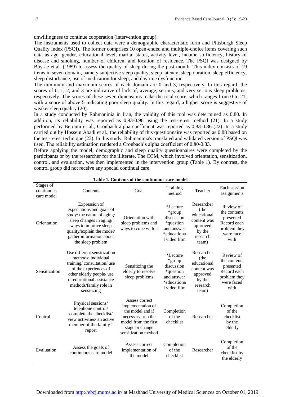unwillingness to continue cooperation (intervention group).

The instruments used to collect data were a demographic characteristic form and Pittsburgh Sleep Quality Index (PSQI). The former comprises 10 open-ended and multiple-choice items covering such data as age, gender, educational level, marital status, activity level, income sufficiency, history of disease and smoking, number of children, and location of residence. The PSQI was designed by Büysse et.al. (1989) to assess the quality of sleep during the past month. This index consists of 19 items in seven domain, namely subjective sleep quality, sleep latency, sleep duration, sleep efficiency, sleep disturbance, use of medication for sleep, and daytime dysfunction.

The minimum and maximum scores of each domain are 0 and 3, respectively. In this regard, the scores of 0, 1, 2, and 3 are indicative of lack of, average, serious, and very serious sleep problems, respectively. The scores of these seven dimensions make the total score, which ranges from 0 to 21, with a score of above 5 indicating poor sleep quality. In this regard, a higher score is suggestive of weaker sleep quality [\(20\)](#page-8-5).

In a study conducted by Rahmaninia in Iran, the validity of this tool was determined as 0.80. In addiiton, its reliability was reported as 0.93-0.98 using the test-retest method [\(21\)](#page-8-6). In a study performed by Beirami et al., Cronbach alpha coefficient was reported as 0.83-0.86 (22). In a study carried out by Hossein Abadi et al., the reliability of this questionnaire was reported as 0.88 based on the test-retest technique [\(23\)](#page-8-7). In this study, Rahmaninia's translated and validated version of PSQI was used. The reliability estimation rendered a Cronbach's alpha coefficient of 0.80-0.83.

Before applying the model, demographic and sleep quality questionnaires were completed by the participants or by the researcher for the illiterate. The CCM, which involved orientation, sensitization, control, and evaluation, was then implemented in the intervention group (Table 1). By contrast, the control group did not receive any special continual care.

| Stages of<br>continuous<br>care model | Contents                                                                                                                                                                                                     | Goal                                                                                                                                             | Training<br>method                                                                         | Teacher                                                                                     | Each session<br>assignments                                                                 |
|---------------------------------------|--------------------------------------------------------------------------------------------------------------------------------------------------------------------------------------------------------------|--------------------------------------------------------------------------------------------------------------------------------------------------|--------------------------------------------------------------------------------------------|---------------------------------------------------------------------------------------------|---------------------------------------------------------------------------------------------|
| Orientation                           | Expression of<br>expectations and goals of<br>study/ the nature of aging/<br>sleep changes in aging/<br>ways to improve sleep<br>quality/explain the model/<br>gather information about<br>the sleep problem | Orientation with<br>sleep problems and<br>ways to cope with it                                                                                   | *Lecture<br>*group<br>discussion<br>*question<br>and answer<br>*educationa<br>l video film | Researcher<br>(the<br>educational<br>content was<br>approved<br>by the<br>research<br>team) | Review of<br>the contents<br>presented<br>Record each<br>problem they<br>were face<br>with  |
| Sensitization                         | Use different sensitization<br>methods; individual<br>training/consultation/use<br>of the experiences of<br>other elderly people/ use<br>of educational assistance<br>methods/family role in<br>sensitizing  | Sensitizing the<br>elderly to resolve<br>sleep problems                                                                                          | *Lecture<br>*group<br>discussion<br>*question<br>and answer<br>*educationa<br>l video film | Researcher<br>(the<br>educational<br>content was<br>approved<br>by the<br>research<br>team) | Review of<br>the contents<br>presented<br>Record each<br>problem they<br>were faced<br>with |
| Control                               | Physical sessions/<br>telephone control/<br>complete the checklist/<br>view activities/ an active<br>member of the family '<br>report                                                                        | Assess correct<br>implementation of<br>the model and if<br>necessary, run the<br>model from the first<br>stage or change<br>sensitization method | Completion<br>of the<br>checklist                                                          | Researcher                                                                                  | Completion<br>of the<br>checklist<br>by the<br>elderly                                      |
| Evaluation                            | Assess the goals of<br>continuous care model                                                                                                                                                                 | Assess correct<br>implementation of<br>the model                                                                                                 | Completion<br>of the<br>checklist                                                          | Researcher                                                                                  | Completion<br>of the<br>checklist by<br>the elderly                                         |

#### **Table 1. Contents of the continuous care model**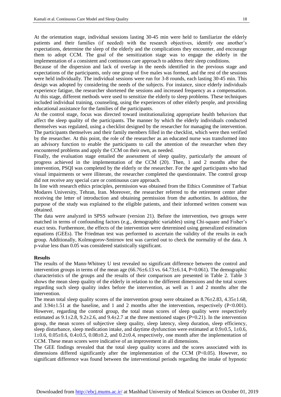At the orientation stage, individual sessions lasting 30-45 min were held to familiarize the elderly patients and their families (if needed) with the research objectives, identify one another's expectations, determine the sleep of the elderly and the complications they encounter, and encourage them to adopt CCM. The goal of the sensitization stage was to engage the elderly in the implementation of a consistent and continuous care approach to address their sleep conditions.

Because of the dispersion and lack of overlap in the needs identified in the previous stage and expectations of the participants, only one group of five males was formed, and the rest of the sessions were held individually. The individual sessions were run for 3-8 rounds, each lasting 30-45 min. This design was adopted by considering the needs of the subjects. For instance, since elderly individuals experience fatigue, the researcher shortened the sessions and increased frequency as a compensation. At this stage, different methods were used to sensitize the elderly to sleep problems. These techniques included individual training, counseling, using the experiences of other elderly people, and providing educational assistance for the families of the participants.

At the control stage, focus was directed toward institutionalizing appropriate health behaviors that affect the sleep quality of the participants. The manner by which the elderly individuals conducted themselves was regulated, using a checklist designed by the researcher for managing the intervention. The participants themselves and their family members filled in the checklist, which were then verified by the researcher. At this point, the role of the researcher as an educated nurse was transformed into an advisory function to enable the participants to call the attention of the researcher when they encountered problems and apply the CCM on their own, as needed.

Finally, the evaluation stage entailed the assessment of sleep quality, particularly the amount of progress achieved in the implementation of the CCM [\(20\)](#page-8-5). Then, 1 and 2 months after the intervention, PSQI was completed by the elderly or the researcher. For the aged participants who had visual impairments or were illiterate, the researcher completed the questionnaire. The control group did not receive any special care or continuous care approach.

In line with research ethics principles, permission was obtained from the Ethics Committee of Tarbiat Modares University, Tehran, Iran. Moreover, the researcher referred to the retirement center after receiving the letter of introduction and obtaining permission from the authorities. In addition, the purpose of the study was explained to the eligible patients, and their informed written consent was obtained.

The data were analyzed in SPSS software (version 21). Before the intervention, two groups were matched in terms of confounding factors (e.g., demographic variables) using Chi-square and Fisher's exact tests. Furthermore, the effects of the intervention were determined using generalized estimation equations (GEEs). The Friedman test was performed to ascertain the validity of the results in each group. Additionally, Kolmogorov-Smirnov test was carried out to check the normality of the data. A p-value less than 0.05 was considered statistically significant.

#### **Results**

The results of the Mann-Whitney U test revealed no significant difference between the control and intervention groups in terms of the mean age  $(66.76\pm6.13 \text{ vs. } 64.73\pm6.14, P=0.061)$ . The demographic characteristics of the groups and the results of their comparison are presented in Table 2. Table 3 shows the mean sleep quality of the elderly in relation to the different dimensions and the total scores regarding such sleep quality index before the intervention, as well as 1 and 2 months after the intervention.

The mean total sleep quality scores of the intervention group were obtained as  $8.76\pm2.83$ ,  $4.35\pm1.68$ , and  $3.94\pm1.51$  at the baseline, and 1 and 2 months after the intervention, respectively (P<0.001). However, regarding the control group, the total mean scores of sleep quality were respectively estimated as  $9.1\pm2.8$ ,  $9.2\pm2.6$ , and  $9.4\pm2.7$  at the three mentioned stages (P=0.21). In the intervention group, the mean scores of subjective sleep quality, sleep latency, sleep duration, sleep efficiency, sleep disturbance, sleep medication intake, and daytime dysfunction were estimated at  $0.9\pm 0.5$ ,  $1\pm 0.6$ ,  $1\pm0.6$ ,  $0.05\pm0.6$ ,  $0.4\pm0.5$ ,  $0.08\pm0.2$ , and  $0.2\pm0.4$ , respectively, one month after the implementation of CCM. These mean scores were indicative of an improvement in all dimensions.

The GEE findings revealed that the total sleep quality scores and the scores associated with its dimensions differed significantly after the implementation of the CCM (P<0.05). However, no significant difference was found between the interventional periods regarding the intake of hypnotic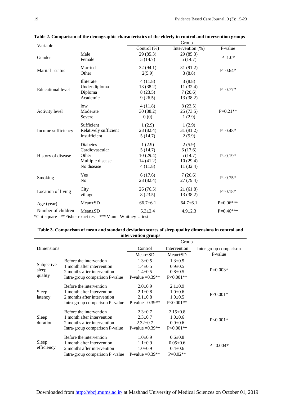| Variable                 |                                                                                                                | Group          |                     |             |  |
|--------------------------|----------------------------------------------------------------------------------------------------------------|----------------|---------------------|-------------|--|
|                          |                                                                                                                | Control (%)    | Intervention $(\%)$ | P-value     |  |
|                          | Male                                                                                                           | 29 (85.3)      | 29(85.3)            |             |  |
| Gender                   | Female                                                                                                         | 5(14.7)        | 5(14.7)             | $P=1.0*$    |  |
|                          | Married                                                                                                        | 32(94.1)       | 31(91.2)            | $P=0.64*$   |  |
| Marital status           | Other                                                                                                          | 2(5.9)         | 3(8.8)              |             |  |
|                          | Illiterate                                                                                                     | 4(11.8)        | 3(8.8)              |             |  |
| <b>Educational level</b> | Under diploma                                                                                                  | 13 (38.2)      | 11(32.4)            | $P=0.77*$   |  |
|                          | Diploma                                                                                                        | 8(23.5)        | 7(20.6)             |             |  |
|                          | Academic                                                                                                       | 9(26.5)        | 13 (38.2)           |             |  |
|                          | low                                                                                                            | 4(11.8)        | 8(23.5)             |             |  |
| Activity level           | Moderate                                                                                                       | 30 (88.2)      | 25(73.5)            | $P=0.21**$  |  |
|                          | Severe                                                                                                         | 0(0)           | 1(2.9)              |             |  |
|                          | Sufficient                                                                                                     | 1(2.9)         | 1(2.9)              |             |  |
| Income sufficiency       | Relatively sufficient                                                                                          | 28 (82.4)      | 31(91.2)            | $P=0.48*$   |  |
|                          | Insufficient                                                                                                   | 5(14.7)        | 2(5.9)              |             |  |
|                          | <b>Diabetes</b>                                                                                                | 1(2.9)         | 2(5.9)              |             |  |
|                          | Cardiovascular                                                                                                 | 5(14.7)        | 6(17.6)             |             |  |
| History of disease       | Other                                                                                                          | 10(29.4)       | 5(14.7)             | $P=0.19*$   |  |
|                          | Multiple disease                                                                                               | 14(41.2)       | 10(29.4)            |             |  |
|                          | No disease                                                                                                     | 4(11.8)        | 11(32.4)            |             |  |
|                          | Yes                                                                                                            | 6(17.6)        | 7(20.6)             |             |  |
| Smoking                  | N <sub>0</sub>                                                                                                 | 28 (82.4)      | 27(79.4)            | $P=0.75*$   |  |
|                          | City                                                                                                           | 26(76.5)       | 21(61.8)            | $P=0.18*$   |  |
| Location of living       | village                                                                                                        | 8(23.5)        | 13 (38.2)           |             |  |
| Age (year)               | Mean±SD                                                                                                        | $66.7 \pm 6.1$ | $64.7 \pm 6.1$      | $P=0.06***$ |  |
| Number of children       | Mean±SD<br>$kC_{\rm b}$ cause $k\overline{k}$ change and that $k\overline{k}k\overline{k}$ can Whitney II took | $5.3 \pm 2.4$  | $4.9 \pm 2.3$       | $P=0.46***$ |  |

**Table 2. Comparison of the demographic characteristics of the elderly in control and intervention groups**

\*Chi-square \*\*Fisher exact test \*\*\*Mann–Whitney U test

#### **Table 3. Comparison of mean and standard deviation scores of sleep quality dimensions in control and intervention groups**

|                                |                                 | Group              |                |                        |  |
|--------------------------------|---------------------------------|--------------------|----------------|------------------------|--|
| <b>Dimensions</b>              |                                 | Control            | Intervention   | Inter-group comparison |  |
|                                |                                 | $Mean+SD$          | $Mean \pm SD$  | P-value                |  |
| Subjective<br>sleep<br>quality | Before the intervention         | $1.3 \pm 0.5$      | $1.3 \pm 0.5$  |                        |  |
|                                | 1 month after intervention      | $1.4 \pm 0.5$      | $0.9 + 0.5$    |                        |  |
|                                | 2 months after intervention     | $1.4 + 0.5$        | $0.8 + 0.5$    | $P=0.003*$             |  |
|                                | Intra-group comparison P-value  | P-value = $0.39**$ | $P < 0.001**$  |                        |  |
| Sleep<br>latency               | Before the intervention         | $2.0 \pm 0.9$      | $2.1 \pm 0.9$  |                        |  |
|                                | 1 month after intervention      | $2.1 \pm 0.8$      | $1.0\pm 0.6$   |                        |  |
|                                | 2 months after intervention     | $2.1 \pm 0.8$      | $1.0+0.5$      | $P < 0.001*$           |  |
|                                | Intra-group comparison P -value | P-value = $0.39**$ | $P < 0.001**$  |                        |  |
| Sleep<br>duration              | Before the intervention         | $2.3 + 0.7$        | $2.15 \pm 0.8$ |                        |  |
|                                | 1 month after intervention      | $2.3 \pm 0.7$      | $1.0\pm 0.6$   |                        |  |
|                                | 2 months after intervention     | $2.32 \pm 0.7$     | $0.9+0.6$      | $P<0.001*$             |  |
|                                | Intra-group comparison P-value  | P-value = $0.39**$ | $P < 0.001**$  |                        |  |
| Sleep<br>efficiency            | Before the intervention         | $1.0 \pm 0.9$      | $0.6 \pm 0.8$  |                        |  |
|                                | 1 month after intervention      | $1.1 \pm 0.9$      | $0.05 \pm 0.6$ | $P = 0.004*$           |  |
|                                | 2 months after intervention     | $1.0 \pm 0.9$      | $0.4 \pm 0.6$  |                        |  |
|                                | Intra-group comparison P -value | P-value = $0.39**$ | $P=0.02**$     |                        |  |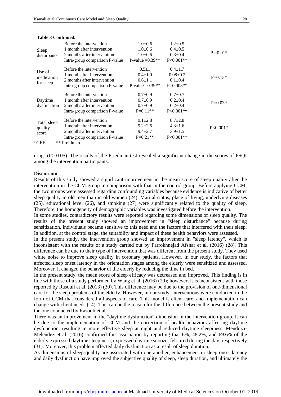| <b>Table 3 Continued.</b>       |                                |                    |                |             |
|---------------------------------|--------------------------------|--------------------|----------------|-------------|
| Sleep<br>disturbance            | Before the intervention        | $1.0 \pm 0.6$      | $1.2 \pm 0.5$  |             |
|                                 | 1 month after intervention     | $1.0 \pm 0.6$      | $0.4 \pm 0.5$  |             |
|                                 | 2 months after intervention    | $1.0 \pm 0.6$      | $0.3 \pm 0.4$  | $P = 0.01*$ |
|                                 | Intra-group comparison P-value | P-value = $0.39**$ | $P < 0.001**$  |             |
| Use of<br>medication            | Before the intervention        | $0.5 \pm 1$        | $0.4 \pm 1.7$  |             |
|                                 | 1 month after intervention     | $0.4 \pm 1.0$      | $0.08 \pm 0.2$ | $P=0.13*$   |
|                                 | 2 months after intervention    | $0.6 \pm 1.1$      | $0.1 \pm 0.4$  |             |
| for sleep                       | Intra-group comparison P-value | P-value = $0.39**$ | $P=0.003**$    |             |
| Daytime<br>dysfunction          | Before the intervention        | $0.7 \pm 0.9$      | $0.7 + 0.7$    |             |
|                                 | 1 month after intervention     | $0.7 \pm 0.9$      | $0.2{\pm}0.4$  | $P=0.03*$   |
|                                 | 2 months after intervention    | $0.7 \pm 0.9$      | $0.2{\pm}0.4$  |             |
|                                 | Intra-group comparison P-value | $P=0.11**$         | $P < 0.001**$  |             |
| Total sleep<br>quality<br>score | Before the intervention        | $9.1 \pm 2.8$      | $8.7 \pm 2.8$  |             |
|                                 | 1 month after intervention     | $9.2 \pm 2.6$      | $4.3 \pm 1.6$  | $P<0.001*$  |
|                                 | 2 months after intervention    | $9.4 \pm 2.7$      | $3.9 \pm 1.5$  |             |
|                                 | Intra-group comparison P-value | $P=0.21**$         | $P < 0.001**$  |             |
| $*GEE$                          | ** Freidman                    |                    |                |             |

#### drugs ( $P > 0.05$ ). The results of the Friedman test revealed a significant change in the scores of PSQI among the intervention participants.

#### **Discussion**

Results of this study showed a significant improvement in the mean score of sleep quality after the intervention in the CCM group in comparison with that in the control group. Before applying CCM, the two groups were assessed regarding confounding variables because evidence is indicative of better sleep quality in old men than in old women (24). Marital status, place of living, underlying diseases [\(25\)](#page-8-8), educational level [\(26\)](#page-8-9), and smoking [\(27\)](#page-8-10) were significantly related to the quality of sleep. Therefore, the homogeneity of demographic variables was investigated before the intervention.

In some studies, contradictory results were reported regarding some dimensions of sleep quality. The results of the present study showed an improvement in "sleep disturbance" because during sensitization, individuals became sensitive to this need and the factors that interfered with their sleep. In addition, at the control stage, the suitability and impact of these health behaviors were assessed.

In the present study, the intervention group showed an improvement in "sleep latency", which is inconsistent with the results of a study carried out by Farrokhnejad Afshar et al. (2016) (28). This difference can be due to their type of intervention that was different from the present study. They used white noise to improve sleep quality in coronary patients. However, in our study, the factors that affected sleep onset latency in the orientation stages among the elderly were sensitized and assessed. Moreover, it changed the behavior of the elderly by reducing the time in bed.

In the present study, the mean score of sleep efficacy was decreased and improved. This finding is in line with those of a study performed by Wang et al. (2016) [\(29\)](#page-8-11); however, it is inconsistent with those reported by Rasouli et al. (2013) (30). This difference may be due to the provision of one-dimensional care for the sleep problems of the elderly. However, in our study, interventions were conducted in the form of CCM that considered all aspects of care. This model is client-care, and implementation can change with client needs (14). This can be the reason for the difference between the present study and the one conducted by Rasouli et al.

There was an improvement in the "daytime dysfunction" dimension in the intervention group. It can be due to the implementation of CCM and the correction of health behaviors affecting daytime dysfunction, resulting in more effective sleep at night and reduced daytime sleepiness. Mendoza-Meléndez et al. (2016) confirmed this association by reporting that 6%, 48.2%, and 69.6% of the elderly expressed daytime sleepiness, expressed daytime snooze, felt tired during the day, respectively [\(31\)](#page-9-0). Moreover, this problem affected daily dysfunction as a result of sleep duration.

As dimensions of sleep quality are associated with one another, enhancement in sleep onset latency and daily dysfunction have improved the subjective quality of sleep, sleep duration, and ultimately the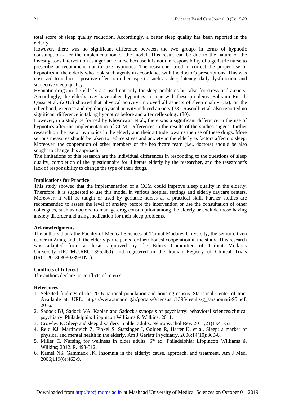total score of sleep quality reduction. Accordingly, a better sleep quality has been reported in the elderly.

However, there was no significant difference between the two groups in terms of hypnotic consumption after the implementation of the model. This result can be due to the nature of the investigator's intervention as a geriatric nurse because it is not the responsibility of a geriatric nurse to prescribe or recommend not to take hypnotics. The researcher tried to correct the proper use of hypnotics in the elderly who took such agents in accordance with the doctor's prescriptions. This was observed to induce a positive effect on other aspects, such as sleep latency, daily dysfunction, and subjective sleep quality.

Hypnotic drugs in the elderly are used not only for sleep problems but also for stress and anxiety. Accordingly, the elderly may have taken hypnotics to cope with these problems. Bahrami Ein-al-Qassi et al. (2016) showed that physical activity improved all aspects of sleep quality [\(32\)](#page-9-1); on the other hand, exercise and regular physical activity reduced anxiety [\(33\)](#page-9-2). Rasoulli et al. also reported no significant difference in taking hypnotics before and after reflexology (30).

However, in a study performed by Khosrowan et al., there was a significant difference in the use of hypnotics after the implementation of CCM. Differences in the results of the studies suggest further research on the use of hypnotics in the elderly and their attitude towards the use of these drugs. More serious measures should be taken to reduce stress and anxiety in the elderly as factors affecting sleep. Moreover, the cooperation of other members of the healthcare team (i.e., doctors) should be also sought to change this approach.

The limitations of this research are the individual differences in responding to the questions of sleep quality, completion of the questionnaire for illiterate elderly by the researcher, and the researcher's lack of responsibility to change the type of their drugs.

#### **Implications for Practice**

This study showed that the implementation of a CCM could improve sleep quality in the elderly. Therefore, it is suggested to use this model in various hospital settings and elderly daycare centers. Moreover, it will be taught or used by geriatric nurses as a practical skill. Further studies are recommended to assess the level of anxiety before the intervention or use the consultation of other colleagues, such as doctors, to manage drug consumption among the elderly or exclude those having anxiety disorder and using medication for their sleep problems.

#### **Acknowledgments**

The authors thank the Faculty of Medical Sciences of Tarbiat Modares University, the senior citizen center in Zirab, and all the elderly participants for their honest cooperation in the study. This research was adapted from a thesis approved by the Ethics Committee of Tarbiat Modares University (IR.TMU.REC.1395.460) and registered in the Iranian Registry of Clinical Trials (IRCT20180303038931N1).

#### **Conflicts of Interest**

The authors declare no conflicts of interest.

#### **References**

- <span id="page-7-0"></span>1. Selected findings of the 2016 national population and housing census. Statistical Center of Iran. Available at: URL: https://www.amar.org.ir/portals/0/census /1395/results/g\_sarshomari-95.pdf; 2016.
- <span id="page-7-1"></span>2. Sadock BJ, Sadock VA. Kaplan and Sadock's synopsis of psychiatry: behavioral sciences/clinical psychiatry. Philadelphia: Lippincott Williams & Wilkins; 2011.
- <span id="page-7-2"></span>3. Crowley K. Sleep and sleep disorders in older adults. Neuropsychol Rev. 2011;21(1):41-53.
- <span id="page-7-3"></span>4. Reid KJ, Martinovich Z, Finkel S, Statsinger J, Golden R, Harter K, et al. Sleep: a marker of physical and mental health in the elderly. Am J Geriatr Psychiatry. 2006;14(10):860-6.
- 5. Miller C. Nursing for wellness in older adults.  $6<sup>th</sup>$  ed. Philadelphia: Lippincott Williams & Wilkins; 2012. P. 498-512.
- <span id="page-7-4"></span>6. Kamel NS, Gammack JK. Insomnia in the elderly: cause, approach, and treatment. Am J Med. 2006;119(6):463-9.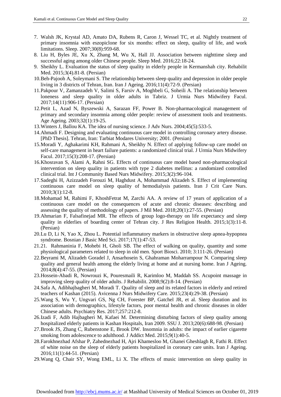- <span id="page-8-0"></span>7. Walsh JK, Krystal AD, Amato DA, Rubens R, Caron J, Wessel TC, et al. Nightly treatment of primary insomnia with eszopiclone for six months: effect on sleep, quality of life, and work limitations. Sleep. 2007;30(8):959-68.
- <span id="page-8-1"></span>8. Liu H, Byles JE, Xu X, Zhang M, Wu X, Hall JJ. Association between nighttime sleep and successful aging among older Chinese people. Sleep Med. 2016;22:18-24.
- <span id="page-8-2"></span>9. Sheikhy L. Evaluation the status of sleep quality in elderly people in Kermanshah city. Rehabilit Med. 2015;3(4).81-8. (Persian)
- 10.Beh-Pajooh A, Soleymani S. The relationship between sleep quality and depression in older people living in 3 districts of Tehran, Iran. Iran J Ageing. 2016;11(4):72-9. (Persian)
- 11.Pakpour V, Zamanzadeh V, Salimi S, Farsiv A, Moghbeli G, Soheili A. The relationship between loneness and sleep quality in older adults in Tabriz. J Urmia Nurs Midwifery Facul. 2017;14(11):906-17. (Persian)
- 12.Petit L, Azad N, Byszewski A, Sarazan FF, Power B. Non-pharmacological management of primary and secondary insomnia among older people: review of assessment tools and treatments. Age Ageing. 2003;32(1):19-25.
- <span id="page-8-3"></span>13.Winters J, Ballou KA. The idea of nursing science. J Adv Nurs. 2004;45(5):533-5.
- 14.Ahmadi F. Designing and evaluating continuous care model in controlling coronary artery disease. [PhD Thesis]. Tehran, Iran: Tarbiat Modares University; 2001. (Persian)
- 15.Moradi Y, Aghakarimi KH, Rahmani A, Sheikhy N. Effect of applying follow-up care model on self-care management in heart failure patients: a randomized clinical trial. J Urmia Nurs Midwifery Facul. 2017;15(3):208-17. (Persian)
- 16.Khosravan S, Alami A, Rahni SG. Effects of continuous care model based non-pharmacological intervention on sleep quality in patients with type 2 diabetes mellitus: a randomized controlled clinical trial. Int J Community Based Nurs Midwifery. 2015;3(2):96-104.
- 17.Sadeghi H, Azizzadeh Forouzi M, Haghdust A, Mohammad Alizadeh S. Effect of implementing continuous care model on sleep quality of hemodialysis patients. Iran J Crit Care Nurs. 2010;3(1):12-8.
- 18.Mohamad M, Rahimi F, KhoshFetrat M, Zarchi AA. A review of 17 years of application of a continuous care model on the consequences of acute and chronic diseases: describing and assessing the quality of methodology of papers. J Mil Med. 2018;20(1):27-55. (Persian)
- <span id="page-8-4"></span>19.Ahmarian F, Falsafinejad MR. The effects of group logo-therapy on life expectancy and sleep quality in elderlies of boarding center of Tehran city. J Res Religion Health. 2015;1(3):11-8. (Persian)
- <span id="page-8-5"></span>20.Lu D, Li N, Yao X, Zhou L. Potential inflammatory markers in obstructive sleep apnea-hypopnea syndrome. Bosnian J Basic Med Sci. 2017;17(1):47-53.
- <span id="page-8-6"></span>21.21. Rahmaninia F, Mohebi H, Gholi SB. The effect of walking on quality, quantity and some physiological parameters related to sleep in old men. [Sport Biosci.](https://www.sid.ir/En/Journal/JournalList.aspx?ID=12963) 2010; 3:111-26. (Persian)
- 22.Beyrami M, Alizadeh Goradel J, Ansarhosein S, Ghahraman Moharrampour N. Comparing sleep quality and general health among the elderly living at home and at nursing home. Iran J Ageing. 2014;8(4):47-55. (Persian)
- <span id="page-8-7"></span>23.Hossein-Abadi R, Nowrouzi K, Pouresmaili R, Karimloo M, Maddah SS. Acupoint massage in improving sleep quality of older adults. J Rehabilit. 2008;9(2):8-14. (Persian)
- <span id="page-8-8"></span>24.Safa A, Adibhajbagheri M, Moradi T. Quality of sleep and its related factors in elderly and retired teachers of Kashan (2015). [Avicenna J Nurs Midwifery Care. 2015;23\(4\):29-38.](http://nmj.umsha.ac.ir/browse.php?mag_id=1026&slc_lang=en&sid=1) (Persian)
- 25.Wang S, Wu Y, Ungvari GS, Ng CH, Forester BP, Gatchel JR, et al. Sleep duration and its association with demographics, lifestyle factors, poor mental health and chronic diseases in older Chinese adults. Psychiatry Res. 2017;257:212-8.
- <span id="page-8-9"></span>26.Izadi F, Adib Hajbagheri M, Kafaei M. Determining disturbing factors of sleep quality among hospitalized elderly patients in Kashan Hospitals, Iran 2009. SSU J. 2013;20(6):688-98. (Persian)
- <span id="page-8-10"></span>27.Brook JS, Zhang C, Rubenstone E, Brook DW. Insomnia in adults: the impact of earlier cigarette smoking from adolescence to adulthood. J Addict Med. 2015;9(1):40-5.
- 28.Farokhnezhad Afshar P, Zahednezhad H, Ajri Khamesloo M, Ghanei Gheshlagh R, Fathi R. Effect of white noise on the sleep of elderly patients hospitalized in coronary care units. Iran J Ageing. 2016;11(1):44-51. (Persian)
- <span id="page-8-11"></span>29.Wang Q, Chair SY, Wong EML, Li X. The effects of music intervention on sleep quality in